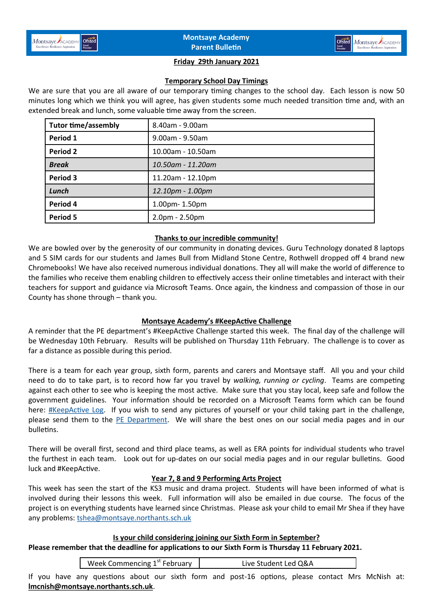

#### **Friday 29th January 2021**

### **Temporary School Day Timings**

We are sure that you are all aware of our temporary timing changes to the school day. Each lesson is now 50 minutes long which we think you will agree, has given students some much needed transition time and, with an extended break and lunch, some valuable time away from the screen.

| <b>Tutor time/assembly</b> | 8.40am - 9.00am   |
|----------------------------|-------------------|
| Period 1                   | 9.00am - 9.50am   |
| Period 2                   | 10.00am - 10.50am |
| <b>Break</b>               | 10.50am - 11.20am |
| Period 3                   | 11.20am - 12.10pm |
| Lunch                      | 12.10pm - 1.00pm  |
| Period 4                   | 1.00pm-1.50pm     |
| Period 5                   | $2.0pm - 2.50pm$  |

### **Thanks to our incredible community!**

We are bowled over by the generosity of our community in donating devices. Guru Technology donated 8 laptops and 5 SIM cards for our students and James Bull from Midland Stone Centre, Rothwell dropped off 4 brand new Chromebooks! We have also received numerous individual donations. They all will make the world of difference to the families who receive them enabling children to effectively access their online timetables and interact with their teachers for support and guidance via Microsoft Teams. Once again, the kindness and compassion of those in our County has shone through – thank you.

## **Montsaye Academy's #KeepActive Challenge**

A reminder that the PE department's #KeepActive Challenge started this week. The final day of the challenge will be Wednesday 10th February. Results will be published on Thursday 11th February. The challenge is to cover as far a distance as possible during this period.

There is a team for each year group, sixth form, parents and carers and Montsaye staff. All you and your child need to do to take part, is to record how far you travel by *walking, running or cycling*. Teams are competing against each other to see who is keeping the most active. Make sure that you stay local, keep safe and follow the government guidelines. Your information should be recorded on a Microsoft Teams form which can be found here: **[#KeepActive Log.](https://forms.office.com/Pages/ResponsePage.aspx?id=s6yrlFDW3EmpghlHs25jGc1oqn6TNDtHlOtRWvKQ95BUN1BKQ1QzT083RjFCUlowSzdQVDZRS0E0Qi4u)** If you wish to send any pictures of yourself or your child taking part in the challenge, please send them to the [PE Department.](mailto:*PE%20Department%20%3cpe@montsaye.northants.sch.uk%3e) We will share the best ones on our social media pages and in our bulletins.

There will be overall first, second and third place teams, as well as ERA points for individual students who travel the furthest in each team. Look out for up-dates on our social media pages and in our regular bulletins. Good luck and #KeepActive.

## **Year 7, 8 and 9 Performing Arts Project**

This week has seen the start of the KS3 music and drama project. Students will have been informed of what is involved during their lessons this week. Full information will also be emailed in due course. The focus of the project is on everything students have learned since Christmas. Please ask your child to email Mr Shea if they have any problems: [tshea@montsaye.northants.sch.uk](mailto:tshea@montsaye.northants.sch.uk)

**Is your child considering joining our Sixth Form in September? Please remember that the deadline for applications to our Sixth Form is Thursday 11 February 2021.** 

Week Commencing 1<sup>st</sup> February | Live Student Led Q&A

If you have any questions about our sixth form and post-16 options, please contact Mrs McNish at: **[lmcnish@montsaye.northants.sch.uk](mailto:lmcnish@montsaye.northants.sch.uk)**.